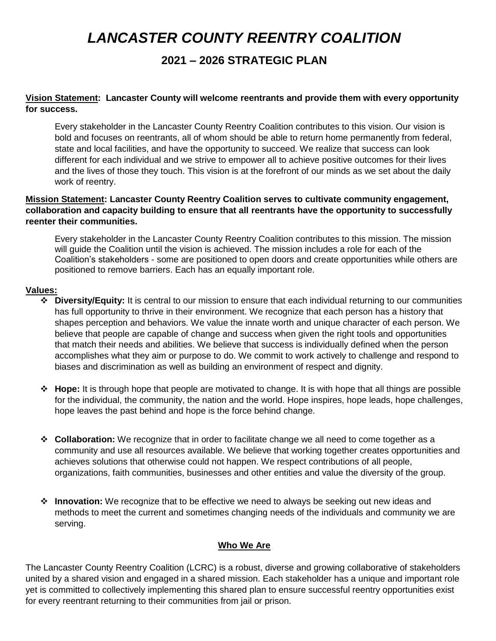# *LANCASTER COUNTY REENTRY COALITION*

## **2021 – 2026 STRATEGIC PLAN**

## **Vision Statement: Lancaster County will welcome reentrants and provide them with every opportunity for success.**

Every stakeholder in the Lancaster County Reentry Coalition contributes to this vision. Our vision is bold and focuses on reentrants, all of whom should be able to return home permanently from federal, state and local facilities, and have the opportunity to succeed. We realize that success can look different for each individual and we strive to empower all to achieve positive outcomes for their lives and the lives of those they touch. This vision is at the forefront of our minds as we set about the daily work of reentry.

## **Mission Statement: Lancaster County Reentry Coalition serves to cultivate community engagement, collaboration and capacity building to ensure that all reentrants have the opportunity to successfully reenter their communities.**

Every stakeholder in the Lancaster County Reentry Coalition contributes to this mission. The mission will guide the Coalition until the vision is achieved. The mission includes a role for each of the Coalition's stakeholders - some are positioned to open doors and create opportunities while others are positioned to remove barriers. Each has an equally important role.

#### **Values:**

- ❖ **Diversity/Equity:** It is central to our mission to ensure that each individual returning to our communities has full opportunity to thrive in their environment. We recognize that each person has a history that shapes perception and behaviors. We value the innate worth and unique character of each person. We believe that people are capable of change and success when given the right tools and opportunities that match their needs and abilities. We believe that success is individually defined when the person accomplishes what they aim or purpose to do. We commit to work actively to challenge and respond to biases and discrimination as well as building an environment of respect and dignity.
- ❖ **Hope:** It is through hope that people are motivated to change. It is with hope that all things are possible for the individual, the community, the nation and the world. Hope inspires, hope leads, hope challenges, hope leaves the past behind and hope is the force behind change.
- ❖ **Collaboration:** We recognize that in order to facilitate change we all need to come together as a community and use all resources available. We believe that working together creates opportunities and achieves solutions that otherwise could not happen. We respect contributions of all people, organizations, faith communities, businesses and other entities and value the diversity of the group.
- ❖ **Innovation:** We recognize that to be effective we need to always be seeking out new ideas and methods to meet the current and sometimes changing needs of the individuals and community we are serving.

## **Who We Are**

The Lancaster County Reentry Coalition (LCRC) is a robust, diverse and growing collaborative of stakeholders united by a shared vision and engaged in a shared mission. Each stakeholder has a unique and important role yet is committed to collectively implementing this shared plan to ensure successful reentry opportunities exist for every reentrant returning to their communities from jail or prison.